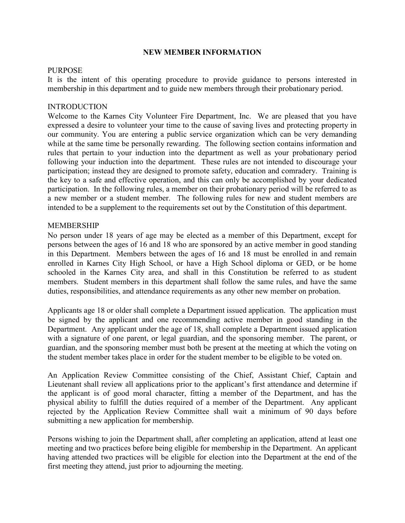### NEW MEMBER INFORMATION

#### PURPOSE

It is the intent of this operating procedure to provide guidance to persons interested in membership in this department and to guide new members through their probationary period.

## INTRODUCTION

Welcome to the Karnes City Volunteer Fire Department, Inc. We are pleased that you have expressed a desire to volunteer your time to the cause of saving lives and protecting property in our community. You are entering a public service organization which can be very demanding while at the same time be personally rewarding. The following section contains information and rules that pertain to your induction into the department as well as your probationary period following your induction into the department. These rules are not intended to discourage your participation; instead they are designed to promote safety, education and comradery. Training is the key to a safe and effective operation, and this can only be accomplished by your dedicated participation. In the following rules, a member on their probationary period will be referred to as a new member or a student member. The following rules for new and student members are intended to be a supplement to the requirements set out by the Constitution of this department.

### MEMBERSHIP

No person under 18 years of age may be elected as a member of this Department, except for persons between the ages of 16 and 18 who are sponsored by an active member in good standing in this Department. Members between the ages of 16 and 18 must be enrolled in and remain enrolled in Karnes City High School, or have a High School diploma or GED, or be home schooled in the Karnes City area, and shall in this Constitution be referred to as student members. Student members in this department shall follow the same rules, and have the same duties, responsibilities, and attendance requirements as any other new member on probation.

Applicants age 18 or older shall complete a Department issued application. The application must be signed by the applicant and one recommending active member in good standing in the Department. Any applicant under the age of 18, shall complete a Department issued application with a signature of one parent, or legal guardian, and the sponsoring member. The parent, or guardian, and the sponsoring member must both be present at the meeting at which the voting on the student member takes place in order for the student member to be eligible to be voted on.

An Application Review Committee consisting of the Chief, Assistant Chief, Captain and Lieutenant shall review all applications prior to the applicant's first attendance and determine if the applicant is of good moral character, fitting a member of the Department, and has the physical ability to fulfill the duties required of a member of the Department. Any applicant rejected by the Application Review Committee shall wait a minimum of 90 days before submitting a new application for membership.

Persons wishing to join the Department shall, after completing an application, attend at least one meeting and two practices before being eligible for membership in the Department. An applicant having attended two practices will be eligible for election into the Department at the end of the first meeting they attend, just prior to adjourning the meeting.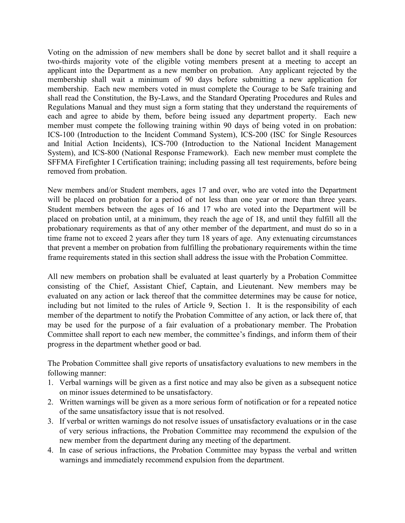Voting on the admission of new members shall be done by secret ballot and it shall require a two-thirds majority vote of the eligible voting members present at a meeting to accept an applicant into the Department as a new member on probation. Any applicant rejected by the membership shall wait a minimum of 90 days before submitting a new application for membership. Each new members voted in must complete the Courage to be Safe training and shall read the Constitution, the By-Laws, and the Standard Operating Procedures and Rules and Regulations Manual and they must sign a form stating that they understand the requirements of each and agree to abide by them, before being issued any department property. Each new member must compete the following training within 90 days of being voted in on probation: ICS-100 (Introduction to the Incident Command System), ICS-200 (ISC for Single Resources and Initial Action Incidents), ICS-700 (Introduction to the National Incident Management System), and ICS-800 (National Response Framework). Each new member must complete the SFFMA Firefighter I Certification training; including passing all test requirements, before being removed from probation.

New members and/or Student members, ages 17 and over, who are voted into the Department will be placed on probation for a period of not less than one year or more than three years. Student members between the ages of 16 and 17 who are voted into the Department will be placed on probation until, at a minimum, they reach the age of 18, and until they fulfill all the probationary requirements as that of any other member of the department, and must do so in a time frame not to exceed 2 years after they turn 18 years of age. Any extenuating circumstances that prevent a member on probation from fulfilling the probationary requirements within the time frame requirements stated in this section shall address the issue with the Probation Committee.

All new members on probation shall be evaluated at least quarterly by a Probation Committee consisting of the Chief, Assistant Chief, Captain, and Lieutenant. New members may be evaluated on any action or lack thereof that the committee determines may be cause for notice, including but not limited to the rules of Article 9, Section 1. It is the responsibility of each member of the department to notify the Probation Committee of any action, or lack there of, that may be used for the purpose of a fair evaluation of a probationary member. The Probation Committee shall report to each new member, the committee's findings, and inform them of their progress in the department whether good or bad.

The Probation Committee shall give reports of unsatisfactory evaluations to new members in the following manner:

- 1. Verbal warnings will be given as a first notice and may also be given as a subsequent notice on minor issues determined to be unsatisfactory.
- 2. Written warnings will be given as a more serious form of notification or for a repeated notice of the same unsatisfactory issue that is not resolved.
- 3. If verbal or written warnings do not resolve issues of unsatisfactory evaluations or in the case of very serious infractions, the Probation Committee may recommend the expulsion of the new member from the department during any meeting of the department.
- 4. In case of serious infractions, the Probation Committee may bypass the verbal and written warnings and immediately recommend expulsion from the department.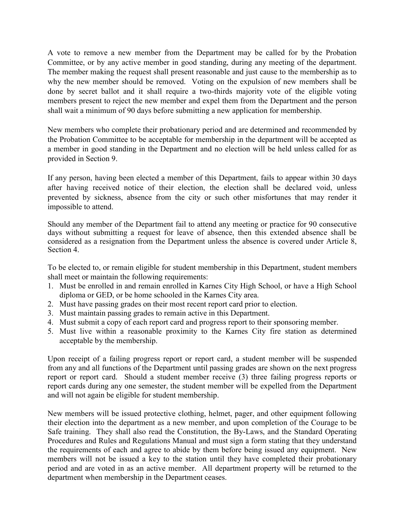A vote to remove a new member from the Department may be called for by the Probation Committee, or by any active member in good standing, during any meeting of the department. The member making the request shall present reasonable and just cause to the membership as to why the new member should be removed. Voting on the expulsion of new members shall be done by secret ballot and it shall require a two-thirds majority vote of the eligible voting members present to reject the new member and expel them from the Department and the person shall wait a minimum of 90 days before submitting a new application for membership.

New members who complete their probationary period and are determined and recommended by the Probation Committee to be acceptable for membership in the department will be accepted as a member in good standing in the Department and no election will be held unless called for as provided in Section 9.

If any person, having been elected a member of this Department, fails to appear within 30 days after having received notice of their election, the election shall be declared void, unless prevented by sickness, absence from the city or such other misfortunes that may render it impossible to attend.

Should any member of the Department fail to attend any meeting or practice for 90 consecutive days without submitting a request for leave of absence, then this extended absence shall be considered as a resignation from the Department unless the absence is covered under Article 8, Section 4.

To be elected to, or remain eligible for student membership in this Department, student members shall meet or maintain the following requirements:

- 1. Must be enrolled in and remain enrolled in Karnes City High School, or have a High School diploma or GED, or be home schooled in the Karnes City area.
- 2. Must have passing grades on their most recent report card prior to election.
- 3. Must maintain passing grades to remain active in this Department.
- 4. Must submit a copy of each report card and progress report to their sponsoring member.
- 5. Must live within a reasonable proximity to the Karnes City fire station as determined acceptable by the membership.

Upon receipt of a failing progress report or report card, a student member will be suspended from any and all functions of the Department until passing grades are shown on the next progress report or report card. Should a student member receive (3) three failing progress reports or report cards during any one semester, the student member will be expelled from the Department and will not again be eligible for student membership.

New members will be issued protective clothing, helmet, pager, and other equipment following their election into the department as a new member, and upon completion of the Courage to be Safe training. They shall also read the Constitution, the By-Laws, and the Standard Operating Procedures and Rules and Regulations Manual and must sign a form stating that they understand the requirements of each and agree to abide by them before being issued any equipment. New members will not be issued a key to the station until they have completed their probationary period and are voted in as an active member. All department property will be returned to the department when membership in the Department ceases.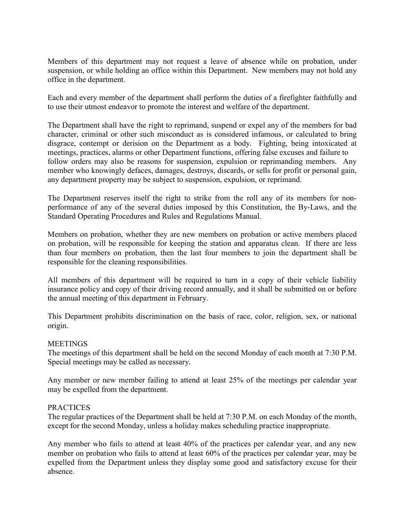Members of this department may not request a leave of absence while on probation, under suspension, or while holding an office within this Department. New members may not hold any office in the department.

Each and every member of the department shall perform the duties of a firefighter faithfully and to use their utmost endeavor to promote the interest and welfare of the department.

The Department shall have the right to reprimand, suspend or expel any of the members for bad character, criminal or other such misconduct as is considered infamous, or calculated to bring disgrace, contempt or derision on the Department as a body. Fighting, being intoxicated at meetings, practices, alarms or other Department functions, offering false excuses and failure to follow orders may also be reasons for suspension, expulsion or reprimanding members. Any member who knowingly defaces, damages, destroys, discards, or sells for profit or personal gain, any department property may be subject to suspension, expulsion, or reprimand.

The Department reserves itself the right to strike from the roll any of its members for nonperformance of any of the several duties imposed by this Constitution, the By-Laws, and the Standard Operating Procedures and Rules and Regulations Manual.

Members on probation, whether they are new members on probation or active members placed on probation, will be responsible for keeping the station and apparatus clean. If there are less than four members on probation, then the last four members to join the department shall be responsible for the cleaning responsibilities.

All members of this department will be required to turn in a copy of their vehicle liability insurance policy and copy of their driving record annually, and it shall be submitted on or before the annual meeting of this department in February.

This Department prohibits discrimination on the basis of race, color, religion, sex, or national origin.

# **MEETINGS**

The meetings of this department shall be held on the second Monday of each month at 7:30 P.M. Special meetings may be called as necessary.

Any member or new member failing to attend at least 25% of the meetings per calendar year may be expelled from the department.

## **PRACTICES**

The regular practices of the Department shall be held at 7:30 P.M. on each Monday of the month, except for the second Monday, unless a holiday makes scheduling practice inappropriate.

Any member who fails to attend at least 40% of the practices per calendar year, and any new member on probation who fails to attend at least 60% of the practices per calendar year, may be expelled from the Department unless they display some good and satisfactory excuse for their absence.